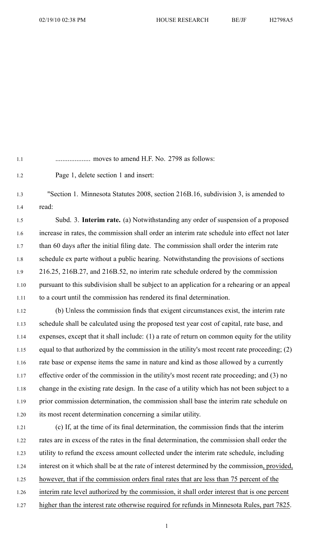1.1 .................... moves to amend H.F. No. 2798 as follows:

1.2 Page 1, delete section 1 and insert:

1.3 "Section 1. Minnesota Statutes 2008, section 216B.16, subdivision 3, is amended to 1.4 read:

1.5 Subd. 3. **Interim rate.** (a) Notwithstanding any order of suspension of <sup>a</sup> proposed 1.6 increase in rates, the commission shall order an interim rate schedule into effect not later 1.7 than 60 days after the initial filing date. The commission shall order the interim rate 1.8 schedule ex parte without <sup>a</sup> public hearing. Notwithstanding the provisions of sections 1.9 216.25, 216B.27, and 216B.52, no interim rate schedule ordered by the commission 1.10 pursuan<sup>t</sup> to this subdivision shall be subject to an application for <sup>a</sup> rehearing or an appeal 1.11 to <sup>a</sup> court until the commission has rendered its final determination.

1.12 (b) Unless the commission finds that exigent circumstances exist, the interim rate 1.13 schedule shall be calculated using the proposed test year cost of capital, rate base, and 1.14 expenses, excep<sup>t</sup> that it shall include: (1) <sup>a</sup> rate of return on common equity for the utility 1.15 equal to that authorized by the commission in the utility's most recent rate proceeding; (2) 1.16 rate base or expense items the same in nature and kind as those allowed by <sup>a</sup> currently 1.17 effective order of the commission in the utility's most recent rate proceeding; and (3) no 1.18 change in the existing rate design. In the case of <sup>a</sup> utility which has not been subject to <sup>a</sup> 1.19 prior commission determination, the commission shall base the interim rate schedule on 1.20 its most recent determination concerning <sup>a</sup> similar utility.

1.21 (c) If, at the time of its final determination, the commission finds that the interim 1.22 rates are in excess of the rates in the final determination, the commission shall order the 1.23 utility to refund the excess amount collected under the interim rate schedule, including 1.24 interest on it which shall be at the rate of interest determined by the commission, provided, 1.25 however, that if the commission orders final rates that are less than 75 percen<sup>t</sup> of the 1.26 interim rate level authorized by the commission, it shall order interest that is one percen<sup>t</sup> 1.27 higher than the interest rate otherwise required for refunds in Minnesota Rules, par<sup>t</sup> 7825.

1